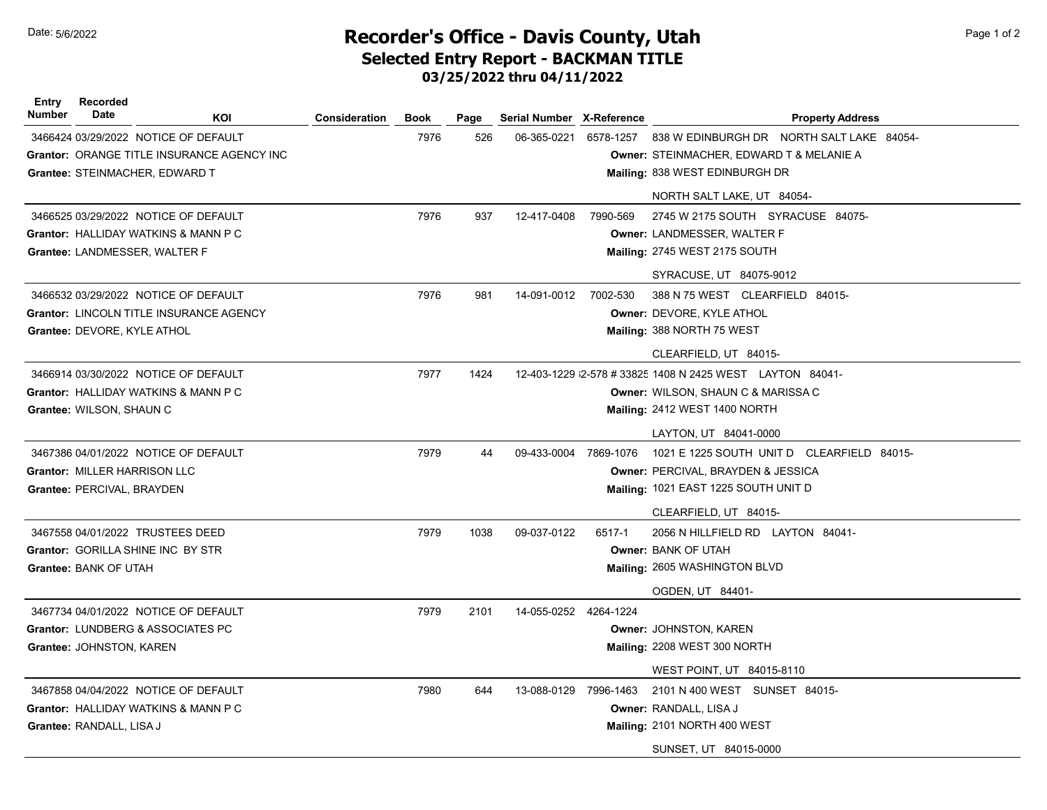## Date: 5/6/2022 **Page 1 of 2** Page 1 of 2 **Recorder's Office - Davis County, Utah** Selected Entry Report - BACKMAN TITLE 03/25/2022 thru 04/11/2022

Entry Number Recorded Date Mate KOI Consideration Book Page Serial Number X-Reference **Property Address** 3466424 03/29/2022 NOTICE OF DEFAULT 7976 526 06-365-0221 6578-1257 Grantor: ORANGE TITLE INSURANCE AGENCY INC Grantee: STEINMACHER, EDWARD T 838 W EDINBURGH DR NORTH SALT LAKE 84054- Owner: STEINMACHER, EDWARD T & MELANIE A Mailing: 838 WEST EDINBURGH DR NORTH SALT LAKE, UT 84054- 3466525 03/29/2022 NOTICE OF DEFAULT 7976 937 12-417-0408 7990-569 Grantor: HALLIDAY WATKINS & MANN P C Grantee: LANDMESSER, WALTER F 2745 W 2175 SOUTH SYRACUSE 84075- Owner: LANDMESSER, WALTER F Mailing: 2745 WEST 2175 SOUTH SYRACUSE, UT 84075-9012 3466532 03/29/2022 NOTICE OF DEFAULT **12000 12000 12000 12000 13000 14-091-0012** 7002-530 Grantor: LINCOLN TITLE INSURANCE AGENCY Grantee: DEVORE, KYLE ATHOL 388 N 75 WEST CLEARFIELD 84015- Owner: DEVORE, KYLE ATHOL Mailing: 388 NORTH 75 WEST CLEARFIELD, UT 84015- 3466914 03/30/2022 NOTICE OF DEFAULT 7977 1424 Grantor: HALLIDAY WATKINS & MANN P C Grantee: WILSON, SHAUN C 12-403-1229 2-578 #33825 1408 N 2425 WEST LAYTON 84041-Owner: WILSON, SHAUN C & MARISSA C Mailing: 2412 WEST 1400 NORTH LAYTON, UT 84041-0000 3467386 04/01/2022 NOTICE OF DEFAULT 7979 44 Grantor: MILLER HARRISON LLC Grantee: PERCIVAL, BRAYDEN 09-433-0004 7869-1076 1021 E 1225 SOUTH UNIT D CLEARFIELD 84015-Owner: PERCIVAL, BRAYDEN & JESSICA Mailing: 1021 EAST 1225 SOUTH UNIT D CLEARFIELD, UT 84015- 3467558 04/01/2022 TRUSTEES DEED 7979 1038 09-037-0122 6517-1 Grantor: GORILLA SHINE INC BY STR Grantee: BANK OF UTAH 2056 N HILLFIELD RD LAYTON 84041- Owner: BANK OF UTAH Mailing: 2605 WASHINGTON BLVD OGDEN, UT 84401- 3467734 04/01/2022 NOTICE OF DEFAULT 7979 2101 14-055-0252 4264-1224 Grantor: LUNDBERG & ASSOCIATES PC Grantee: JOHNSTON, KAREN Owner: JOHNSTON, KAREN Mailing: 2208 WEST 300 NORTH WEST POINT, UT 84015-8110 3467858 04/04/2022 NOTICE OF DEFAULT 1 2000 1980 644 13-088-0129 7996-1463 Grantor: HALLIDAY WATKINS & MANN P C Grantee: RANDALL, LISA J2101 N 400 WEST SUNSET 84015- Owner: RANDALL, LISA J Mailing: 2101 NORTH 400 WEST SUNSET, UT 84015-0000